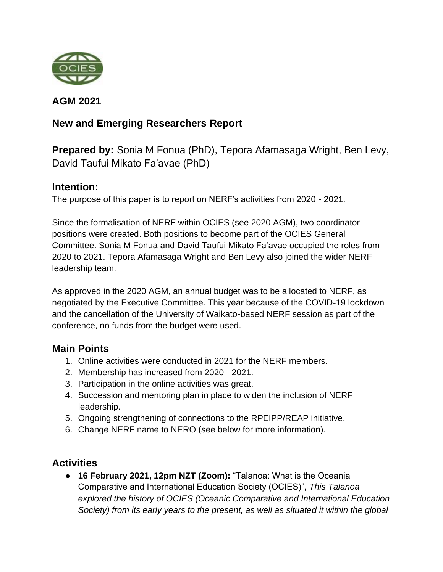

**AGM 2021**

## **New and Emerging Researchers Report**

**Prepared by:** Sonia M Fonua (PhD), Tepora Afamasaga Wright, Ben Levy, David Taufui Mikato Fa'avae (PhD)

## **Intention:**

The purpose of this paper is to report on NERF's activities from 2020 - 2021.

Since the formalisation of NERF within OCIES (see 2020 AGM), two coordinator positions were created. Both positions to become part of the OCIES General Committee. Sonia M Fonua and David Taufui Mikato Fa'avae occupied the roles from 2020 to 2021. Tepora Afamasaga Wright and Ben Levy also joined the wider NERF leadership team.

As approved in the 2020 AGM, an annual budget was to be allocated to NERF, as negotiated by the Executive Committee. This year because of the COVID-19 lockdown and the cancellation of the University of Waikato-based NERF session as part of the conference, no funds from the budget were used.

## **Main Points**

- 1. Online activities were conducted in 2021 for the NERF members.
- 2. Membership has increased from 2020 2021.
- 3. Participation in the online activities was great.
- 4. Succession and mentoring plan in place to widen the inclusion of NERF leadership.
- 5. Ongoing strengthening of connections to the RPEIPP/REAP initiative.
- 6. Change NERF name to NERO (see below for more information).

# **Activities**

● **16 February 2021, 12pm NZT (Zoom):** "Talanoa: What is the Oceania Comparative and International Education Society (OCIES)", *This Talanoa explored the history of OCIES (Oceanic Comparative and International Education Society) from its early years to the present, as well as situated it within the global*